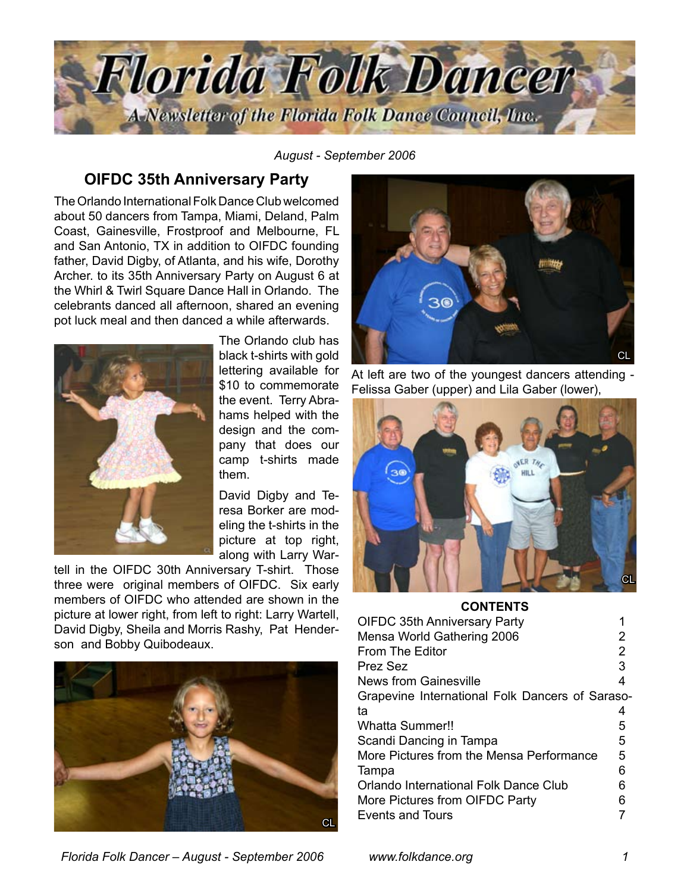

*August - September 2006*

## **OIFDC 35th Anniversary Party**

The Orlando International Folk Dance Club welcomed about 50 dancers from Tampa, Miami, Deland, Palm Coast, Gainesville, Frostproof and Melbourne, FL and San Antonio, TX in addition to OIFDC founding father, David Digby, of Atlanta, and his wife, Dorothy Archer. to its 35th Anniversary Party on August 6 at the Whirl & Twirl Square Dance Hall in Orlando. The celebrants danced all afternoon, shared an evening pot luck meal and then danced a while afterwards.



The Orlando club has black t-shirts with gold lettering available for \$10 to commemorate the event. Terry Abrahams helped with the design and the company that does our camp t-shirts made them.

David Digby and Teresa Borker are modeling the t-shirts in the picture at top right, along with Larry War-

tell in the OIFDC 30th Anniversary T-shirt. Those three were original members of OIFDC. Six early members of OIFDC who attended are shown in the picture at lower right, from left to right: Larry Wartell, David Digby, Sheila and Morris Rashy, Pat Henderson and Bobby Quibodeaux.





At left are two of the youngest dancers attending - Felissa Gaber (upper) and Lila Gaber (lower),



#### **CONTENTS**

| <b>OIFDC 35th Anniversary Party</b>             |   |  |
|-------------------------------------------------|---|--|
| Mensa World Gathering 2006                      | 2 |  |
| From The Editor                                 | 2 |  |
| <b>Prez Sez</b>                                 | 3 |  |
| News from Gainesville                           | 4 |  |
| Grapevine International Folk Dancers of Saraso- |   |  |
| ta                                              | 4 |  |
| <b>Whatta Summer!!</b>                          | 5 |  |
| Scandi Dancing in Tampa                         | 5 |  |
| More Pictures from the Mensa Performance        | 5 |  |
| Tampa                                           | 6 |  |
| Orlando International Folk Dance Club           | 6 |  |
| More Pictures from OIFDC Party                  | 6 |  |
| Events and Tours                                |   |  |

*Florida Folk Dancer – August - September 2006 www.folkdance.org*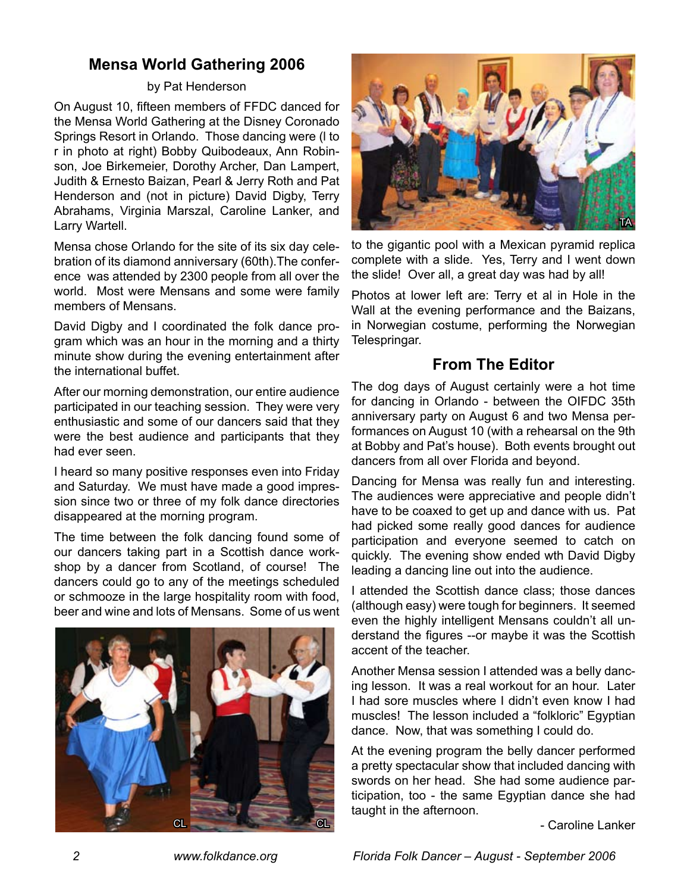# **Mensa World Gathering 2006**

### by Pat Henderson

On August 10, fifteen members of FFDC danced for the Mensa World Gathering at the Disney Coronado Springs Resort in Orlando. Those dancing were (l to r in photo at right) Bobby Quibodeaux, Ann Robinson, Joe Birkemeier, Dorothy Archer, Dan Lampert, Judith & Ernesto Baizan, Pearl & Jerry Roth and Pat Henderson and (not in picture) David Digby, Terry Abrahams, Virginia Marszal, Caroline Lanker, and Larry Wartell.

Mensa chose Orlando for the site of its six day celebration of its diamond anniversary (60th).The conference was attended by 2300 people from all over the world. Most were Mensans and some were family members of Mensans.

David Digby and I coordinated the folk dance program which was an hour in the morning and a thirty minute show during the evening entertainment after the international buffet.

After our morning demonstration, our entire audience participated in our teaching session. They were very enthusiastic and some of our dancers said that they were the best audience and participants that they had ever seen.

I heard so many positive responses even into Friday and Saturday. We must have made a good impression since two or three of my folk dance directories disappeared at the morning program.

The time between the folk dancing found some of our dancers taking part in a Scottish dance workshop by a dancer from Scotland, of course! The dancers could go to any of the meetings scheduled or schmooze in the large hospitality room with food, beer and wine and lots of Mensans. Some of us went





to the gigantic pool with a Mexican pyramid replica complete with a slide. Yes, Terry and I went down the slide! Over all, a great day was had by all!

Photos at lower left are: Terry et al in Hole in the Wall at the evening performance and the Baizans, in Norwegian costume, performing the Norwegian Telespringar.

# **From The Editor**

The dog days of August certainly were a hot time for dancing in Orlando - between the OIFDC 35th anniversary party on August 6 and two Mensa performances on August 10 (with a rehearsal on the 9th at Bobby and Pat's house). Both events brought out dancers from all over Florida and beyond.

Dancing for Mensa was really fun and interesting. The audiences were appreciative and people didn't have to be coaxed to get up and dance with us. Pat had picked some really good dances for audience participation and everyone seemed to catch on quickly. The evening show ended wth David Digby leading a dancing line out into the audience.

I attended the Scottish dance class; those dances (although easy) were tough for beginners. It seemed even the highly intelligent Mensans couldn't all understand the figures --or maybe it was the Scottish accent of the teacher.

Another Mensa session I attended was a belly dancing lesson. It was a real workout for an hour. Later I had sore muscles where I didn't even know I had muscles! The lesson included a "folkloric" Egyptian dance. Now, that was something I could do.

At the evening program the belly dancer performed a pretty spectacular show that included dancing with swords on her head. She had some audience participation, too - the same Egyptian dance she had taught in the afternoon.

- Caroline Lanker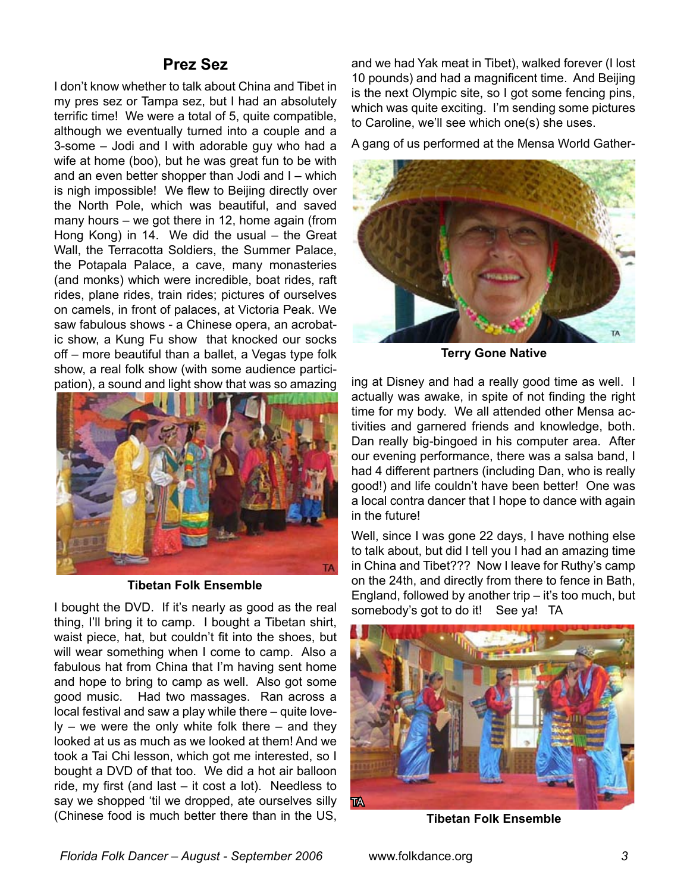## **Prez Sez**

I don't know whether to talk about China and Tibet in my pres sez or Tampa sez, but I had an absolutely terrific time! We were a total of 5, quite compatible, although we eventually turned into a couple and a 3-some – Jodi and I with adorable guy who had a wife at home (boo), but he was great fun to be with and an even better shopper than Jodi and I – which is nigh impossible! We flew to Beijing directly over the North Pole, which was beautiful, and saved many hours – we got there in 12, home again (from Hong Kong) in 14. We did the usual – the Great Wall, the Terracotta Soldiers, the Summer Palace, the Potapala Palace, a cave, many monasteries (and monks) which were incredible, boat rides, raft rides, plane rides, train rides; pictures of ourselves on camels, in front of palaces, at Victoria Peak. We saw fabulous shows - a Chinese opera, an acrobatic show, a Kung Fu show that knocked our socks off – more beautiful than a ballet, a Vegas type folk show, a real folk show (with some audience participation), a sound and light show that was so amazing



**Tibetan Folk Ensemble**

I bought the DVD. If it's nearly as good as the real thing, I'll bring it to camp. I bought a Tibetan shirt, waist piece, hat, but couldn't fit into the shoes, but will wear something when I come to camp. Also a fabulous hat from China that I'm having sent home and hope to bring to camp as well. Also got some good music. Had two massages. Ran across a local festival and saw a play while there – quite love $ly - we were the only white folk there - and they$ looked at us as much as we looked at them! And we took a Tai Chi lesson, which got me interested, so I bought a DVD of that too. We did a hot air balloon ride, my first (and last – it cost a lot). Needless to say we shopped 'til we dropped, ate ourselves silly (Chinese food is much better there than in the US,

and we had Yak meat in Tibet), walked forever (I lost 10 pounds) and had a magnificent time. And Beijing is the next Olympic site, so I got some fencing pins, which was quite exciting. I'm sending some pictures to Caroline, we'll see which one(s) she uses.

A gang of us performed at the Mensa World Gather-



**Terry Gone Native**

ing at Disney and had a really good time as well. I actually was awake, in spite of not finding the right time for my body. We all attended other Mensa activities and garnered friends and knowledge, both. Dan really big-bingoed in his computer area. After our evening performance, there was a salsa band, I had 4 different partners (including Dan, who is really good!) and life couldn't have been better! One was a local contra dancer that I hope to dance with again in the future!

Well, since I was gone 22 days, I have nothing else to talk about, but did I tell you I had an amazing time in China and Tibet??? Now I leave for Ruthy's camp on the 24th, and directly from there to fence in Bath, England, followed by another trip  $-$  it's too much, but somebody's got to do it! See ya! TA



**Tibetan Folk Ensemble**

*Florida Folk Dancer – August - September 2006* www.folkdance.org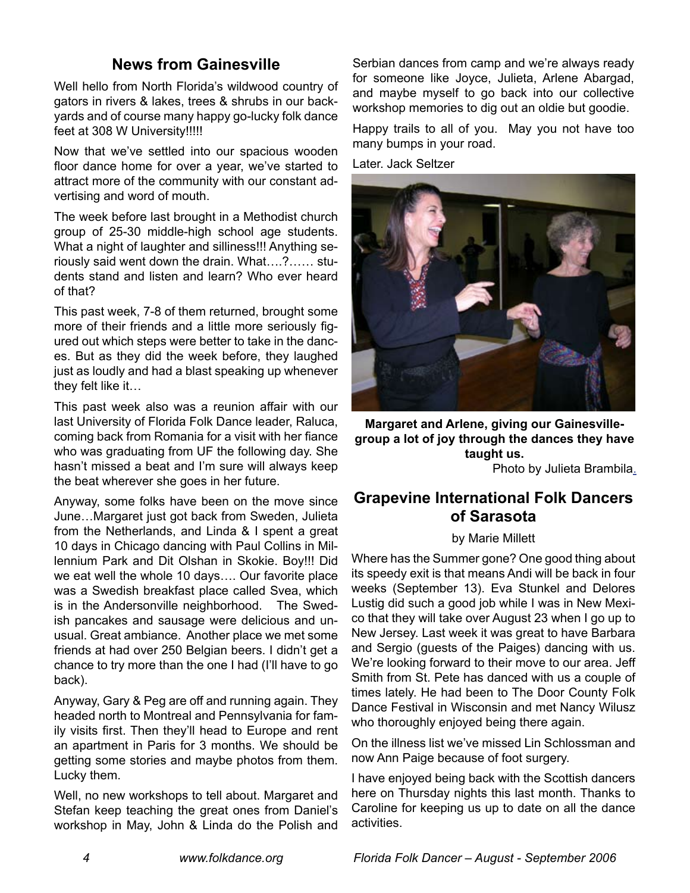# **News from Gainesville**

Well hello from North Florida's wildwood country of gators in rivers & lakes, trees & shrubs in our backyards and of course many happy go-lucky folk dance feet at 308 W University!!!!!

Now that we've settled into our spacious wooden floor dance home for over a year, we've started to attract more of the community with our constant advertising and word of mouth.

The week before last brought in a Methodist church group of 25-30 middle-high school age students. What a night of laughter and silliness!!! Anything seriously said went down the drain. What….?…… students stand and listen and learn? Who ever heard of that?

This past week, 7-8 of them returned, brought some more of their friends and a little more seriously figured out which steps were better to take in the dances. But as they did the week before, they laughed just as loudly and had a blast speaking up whenever they felt like it…

This past week also was a reunion affair with our last University of Florida Folk Dance leader, Raluca, coming back from Romania for a visit with her fiance who was graduating from UF the following day. She hasn't missed a beat and I'm sure will always keep the beat wherever she goes in her future.

Anyway, some folks have been on the move since June…Margaret just got back from Sweden, Julieta from the Netherlands, and Linda & I spent a great 10 days in Chicago dancing with Paul Collins in Millennium Park and Dit Olshan in Skokie. Boy!!! Did we eat well the whole 10 days…. Our favorite place was a Swedish breakfast place called Svea, which is in the Andersonville neighborhood. The Swedish pancakes and sausage were delicious and unusual. Great ambiance. Another place we met some friends at had over 250 Belgian beers. I didn't get a chance to try more than the one I had (I'll have to go back).

Anyway, Gary & Peg are off and running again. They headed north to Montreal and Pennsylvania for family visits first. Then they'll head to Europe and rent an apartment in Paris for 3 months. We should be getting some stories and maybe photos from them. Lucky them.

Well, no new workshops to tell about. Margaret and Stefan keep teaching the great ones from Daniel's workshop in May, John & Linda do the Polish and Serbian dances from camp and we're always ready for someone like Joyce, Julieta, Arlene Abargad, and maybe myself to go back into our collective workshop memories to dig out an oldie but goodie.

Happy trails to all of you. May you not have too many bumps in your road.

Later. Jack Seltzer



**Margaret and Arlene, giving our Gainesvillegroup a lot of joy through the dances they have taught us.**  Photo by Julieta Brambila.

# **Grapevine International Folk Dancers of Sarasota**

#### by Marie Millett

Where has the Summer gone? One good thing about its speedy exit is that means Andi will be back in four weeks (September 13). Eva Stunkel and Delores Lustig did such a good job while I was in New Mexico that they will take over August 23 when I go up to New Jersey. Last week it was great to have Barbara and Sergio (guests of the Paiges) dancing with us. We're looking forward to their move to our area. Jeff Smith from St. Pete has danced with us a couple of times lately. He had been to The Door County Folk Dance Festival in Wisconsin and met Nancy Wilusz who thoroughly enjoyed being there again.

On the illness list we've missed Lin Schlossman and now Ann Paige because of foot surgery.

I have enjoyed being back with the Scottish dancers here on Thursday nights this last month. Thanks to Caroline for keeping us up to date on all the dance activities.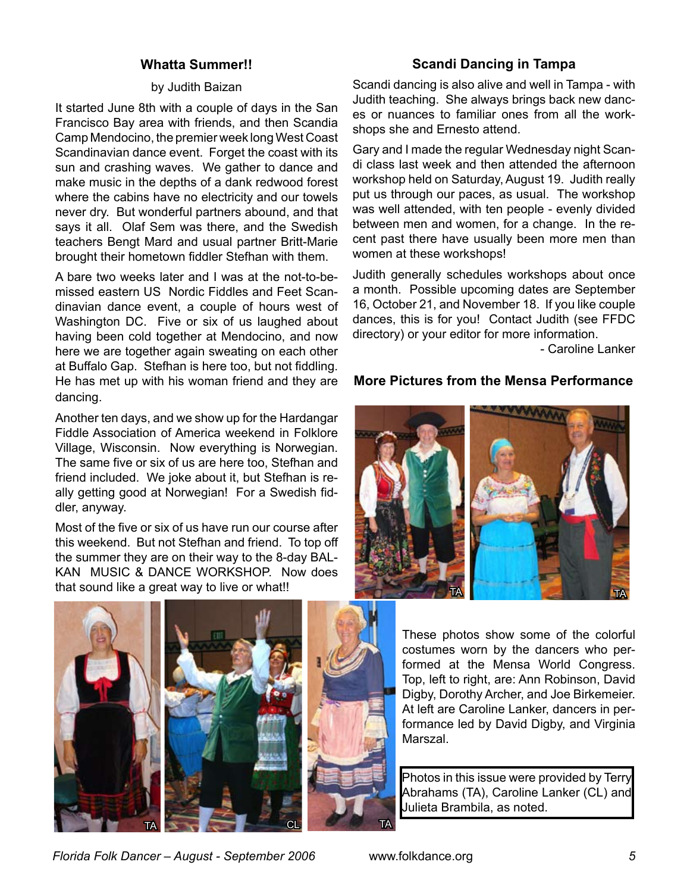### **Whatta Summer!!**

#### by Judith Baizan

It started June 8th with a couple of days in the San Francisco Bay area with friends, and then Scandia Camp Mendocino, the premier week long West Coast Scandinavian dance event. Forget the coast with its sun and crashing waves. We gather to dance and make music in the depths of a dank redwood forest where the cabins have no electricity and our towels never dry. But wonderful partners abound, and that says it all. Olaf Sem was there, and the Swedish teachers Bengt Mard and usual partner Britt-Marie brought their hometown fiddler Stefhan with them.

A bare two weeks later and I was at the not-to-bemissed eastern US Nordic Fiddles and Feet Scandinavian dance event, a couple of hours west of Washington DC. Five or six of us laughed about having been cold together at Mendocino, and now here we are together again sweating on each other at Buffalo Gap. Stefhan is here too, but not fiddling. He has met up with his woman friend and they are dancing.

Another ten days, and we show up for the Hardangar Fiddle Association of America weekend in Folklore Village, Wisconsin. Now everything is Norwegian. The same five or six of us are here too, Stefhan and friend included. We joke about it, but Stefhan is really getting good at Norwegian! For a Swedish fiddler, anyway.

Most of the five or six of us have run our course after this weekend. But not Stefhan and friend. To top off the summer they are on their way to the 8-day BAL-KAN MUSIC & DANCE WORKSHOP. Now does that sound like a great way to live or what!!





### **Scandi Dancing in Tampa**

Scandi dancing is also alive and well in Tampa - with Judith teaching. She always brings back new dances or nuances to familiar ones from all the workshops she and Ernesto attend.

Gary and I made the regular Wednesday night Scandi class last week and then attended the afternoon workshop held on Saturday, August 19. Judith really put us through our paces, as usual. The workshop was well attended, with ten people - evenly divided between men and women, for a change. In the recent past there have usually been more men than women at these workshops!

Judith generally schedules workshops about once a month. Possible upcoming dates are September 16, October 21, and November 18. If you like couple dances, this is for you! Contact Judith (see FFDC directory) or your editor for more information.

- Caroline Lanker

### **More Pictures from the Mensa Performance**



These photos show some of the colorful costumes worn by the dancers who performed at the Mensa World Congress. Top, left to right, are: Ann Robinson, David Digby, Dorothy Archer, and Joe Birkemeier. At left are Caroline Lanker, dancers in performance led by David Digby, and Virginia Marszal.

Photos in this issue were provided by Terry Abrahams (TA), Caroline Lanker (CL) and Julieta Brambila, as noted.

*Florida Folk Dancer – August - September 2006* www.folkdance.org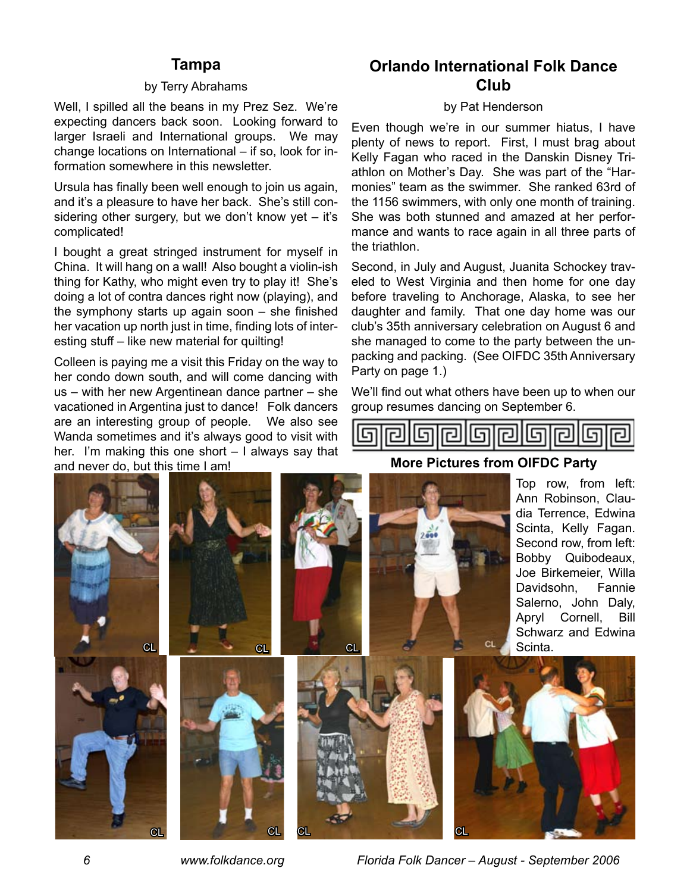## **Tampa**

#### by Terry Abrahams

Well, I spilled all the beans in my Prez Sez. We're expecting dancers back soon. Looking forward to larger Israeli and International groups. We may change locations on International – if so, look for information somewhere in this newsletter.

Ursula has finally been well enough to join us again, and it's a pleasure to have her back. She's still considering other surgery, but we don't know yet – it's complicated!

I bought a great stringed instrument for myself in China. It will hang on a wall! Also bought a violin-ish thing for Kathy, who might even try to play it! She's doing a lot of contra dances right now (playing), and the symphony starts up again soon – she finished her vacation up north just in time, finding lots of interesting stuff – like new material for quilting!

Colleen is paying me a visit this Friday on the way to her condo down south, and will come dancing with us – with her new Argentinean dance partner – she vacationed in Argentina just to dance! Folk dancers are an interesting group of people. We also see Wanda sometimes and it's always good to visit with her. I'm making this one short – I always say that and never do, but this time I am!

# **Orlando International Folk Dance Club**

#### by Pat Henderson

Even though we're in our summer hiatus, I have plenty of news to report. First, I must brag about Kelly Fagan who raced in the Danskin Disney Triathlon on Mother's Day. She was part of the "Harmonies" team as the swimmer. She ranked 63rd of the 1156 swimmers, with only one month of training. She was both stunned and amazed at her performance and wants to race again in all three parts of the triathlon.

Second, in July and August, Juanita Schockey traveled to West Virginia and then home for one day before traveling to Anchorage, Alaska, to see her daughter and family. That one day home was our club's 35th anniversary celebration on August 6 and she managed to come to the party between the unpacking and packing. (See OIFDC 35th Anniversary Party on page 1.)

We'll find out what others have been up to when our group resumes dancing on September 6.





**More Pictures from OIFDC Party**

 *www.folkdance.org Florida Folk Dancer – August - September 2006*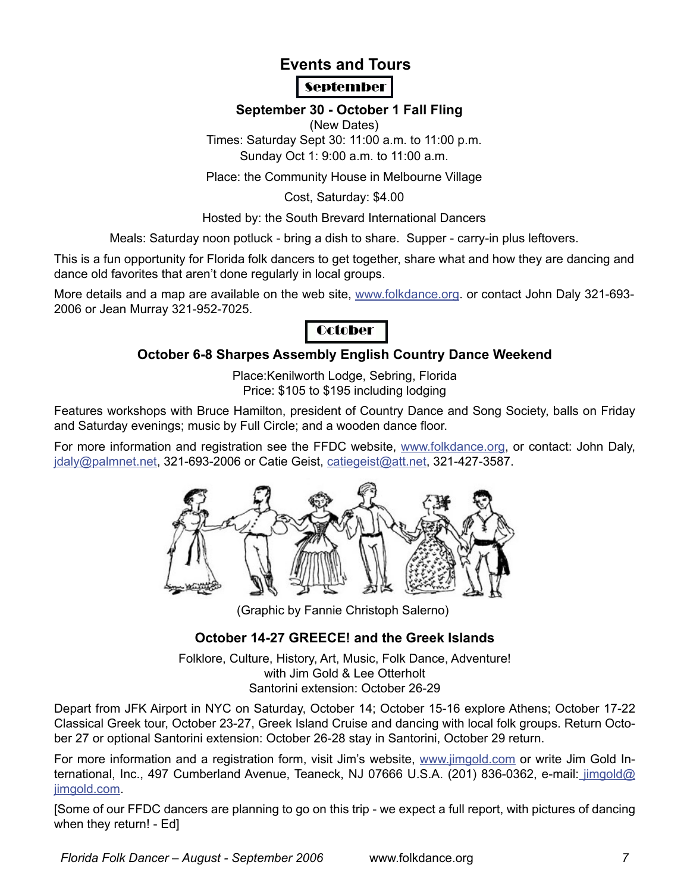# **Events and Tours September**

## **September 30 - October 1 Fall Fling**

(New Dates)

Times: Saturday Sept 30: 11:00 a.m. to 11:00 p.m. Sunday Oct 1: 9:00 a.m. to 11:00 a.m.

Place: the Community House in Melbourne Village

Cost, Saturday: \$4.00

Hosted by: the South Brevard International Dancers

Meals: Saturday noon potluck - bring a dish to share. Supper - carry-in plus leftovers.

This is a fun opportunity for Florida folk dancers to get together, share what and how they are dancing and dance old favorites that aren't done regularly in local groups.

More details and a map are available on the web site, www.folkdance.org. or contact John Daly 321-693- 2006 or Jean Murray 321-952-7025.

# **October**

## **October 6-8 Sharpes Assembly English Country Dance Weekend**

Place:Kenilworth Lodge, Sebring, Florida Price: \$105 to \$195 including lodging

Features workshops with Bruce Hamilton, president of Country Dance and Song Society, balls on Friday and Saturday evenings; music by Full Circle; and a wooden dance floor.

For more information and registration see the FFDC website, www.folkdance.org, or contact: John Daly, jdaly@palmnet.net, 321-693-2006 or Catie Geist, catiegeist@att.net, 321-427-3587.



(Graphic by Fannie Christoph Salerno)

## **October 14-27 GREECE! and the Greek Islands**

Folklore, Culture, History, Art, Music, Folk Dance, Adventure! with Jim Gold & Lee Otterholt Santorini extension: October 26-29

Depart from JFK Airport in NYC on Saturday, October 14; October 15-16 explore Athens; October 17-22 Classical Greek tour, October 23-27, Greek Island Cruise and dancing with local folk groups. Return October 27 or optional Santorini extension: October 26-28 stay in Santorini, October 29 return.

For more information and a registration form, visit Jim's website, www.jimgold.com or write Jim Gold International, Inc., 497 Cumberland Avenue, Teaneck, NJ 07666 U.S.A. (201) 836-0362, e-mail: jimgold@ jimgold.com

[Some of our FFDC dancers are planning to go on this trip - we expect a full report, with pictures of dancing when they return! - Ed]